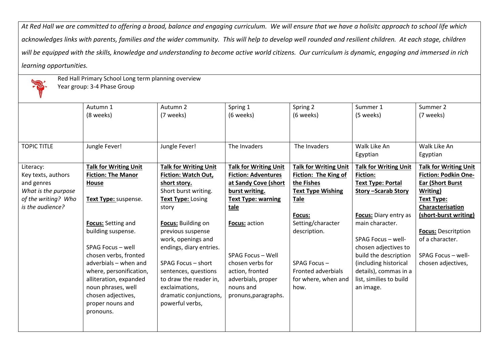*At Red Hall we are committed to offering a broad, balance and engaging curriculum. We will ensure that we have a holisitc approach to school life which*  acknowledges links with parents, families and the wider community. This will help to develop well rounded and resilient children. At each stage, children *will be equipped with the skills, knowledge and understanding to become active world citizens. Our curriculum is dynamic, engaging and immersed in rich learning opportunities.*



Red Hall Primary School Long term planning overview

Year group: 3-4 Phase Group

|                     | Autumn 1                     | Autumn 2                     | Spring 1                     | Spring 2                     | Summer 1                     | Summer 2                     |
|---------------------|------------------------------|------------------------------|------------------------------|------------------------------|------------------------------|------------------------------|
|                     | (8 weeks)                    | (7 weeks)                    | (6 weeks)                    | (6 weeks)                    | (5 weeks)                    | (7 weeks)                    |
|                     |                              |                              |                              |                              |                              |                              |
|                     |                              |                              |                              |                              |                              |                              |
| <b>TOPIC TITLE</b>  | Jungle Fever!                | Jungle Fever!                | The Invaders                 | The Invaders                 | Walk Like An                 | Walk Like An                 |
|                     |                              |                              |                              |                              | Egyptian                     | Egyptian                     |
| Literacy:           | <b>Talk for Writing Unit</b> | <b>Talk for Writing Unit</b> | <b>Talk for Writing Unit</b> | <b>Talk for Writing Unit</b> | <b>Talk for Writing Unit</b> | <b>Talk for Writing Unit</b> |
| Key texts, authors  | <b>Fiction: The Manor</b>    | Fiction: Watch Out,          | <b>Fiction: Adventures</b>   | <b>Fiction: The King of</b>  | <b>Fiction:</b>              | <b>Fiction: Podkin One-</b>  |
| and genres          | House                        | short story.                 | at Sandy Cove (short         | the Fishes                   | <b>Text Type: Portal</b>     | <b>Ear (Short Burst</b>      |
| What is the purpose |                              | Short burst writing.         | burst writing.               | <b>Text Type Wishing</b>     | <b>Story -Scarab Story</b>   | Writing)                     |
| of the writing? Who | Text Type: suspense.         | Text Type: Losing            | <b>Text Type: warning</b>    | <b>Tale</b>                  |                              | Text Type:                   |
| is the audience?    |                              | story                        | tale                         |                              |                              | Characterisation             |
|                     |                              |                              |                              | Focus:                       | Focus: Diary entry as        | (short-burst writing)        |
|                     | Focus: Setting and           | Focus: Building on           | Focus: action                | Setting/character            | main character.              |                              |
|                     | building suspense.           | previous suspense            |                              | description.                 |                              | <b>Focus: Descritption</b>   |
|                     |                              | work, openings and           |                              |                              | SPAG Focus - well-           | of a character.              |
|                     | SPAG Focus - well            | endings, diary entries.      |                              |                              | chosen adjectives to         |                              |
|                     | chosen verbs, fronted        |                              | SPAG Focus - Well            |                              | build the description        | SPAG Focus - well-           |
|                     | adverbials - when and        | SPAG Focus - short           | chosen verbs for             | SPAG Focus-                  | (including historical        | chosen adjectives,           |
|                     | where, personification,      | sentences, questions         | action, fronted              | Fronted adverbials           | details), commas in a        |                              |
|                     | alliteration, expanded       | to draw the reader in,       | adverbials, proper           | for where, when and          | list, similies to build      |                              |
|                     | noun phrases, well           | exclaimations,               | nouns and                    | how.                         | an image.                    |                              |
|                     | chosen adjectives,           | dramatic conjunctions,       | pronuns, paragraphs.         |                              |                              |                              |
|                     | proper nouns and             | powerful verbs,              |                              |                              |                              |                              |
|                     | pronouns.                    |                              |                              |                              |                              |                              |
|                     |                              |                              |                              |                              |                              |                              |
|                     |                              |                              |                              |                              |                              |                              |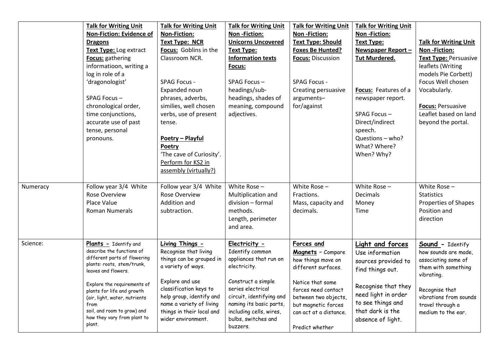|          | <b>Talk for Writing Unit</b><br><b>Non-Fiction: Evidence of</b><br><b>Dragons</b><br>Text Type: Log extract<br>Focus: gathering<br>informatioon, writing a<br>log in role of a<br>'dragonologist'<br>SPAG Focus-<br>chronological order,<br>time conjunctions,<br>accurate use of past<br>tense, personal<br>pronouns. | <b>Talk for Writing Unit</b><br><b>Non-Fiction:</b><br><b>Text Type: NCR</b><br>Focus: Goblins in the<br>Classroom NCR.<br><b>SPAG Focus -</b><br>Expanded noun<br>phrases, adverbs,<br>similies, well chosen<br>verbs, use of present<br>tense.<br>Poetry - Playful<br>Poetry<br>'The cave of Curiosity'.<br>Perform for KS2 in<br>assembly (virtually?) | <b>Talk for Writing Unit</b><br>Non-Fiction:<br><b>Unicorns Uncovered</b><br><b>Text Type:</b><br><b>Information texts</b><br>Focus:<br>SPAG Focus-<br>headings/sub-<br>headings, shades of<br>meaning, compound<br>adjectives.            | <b>Talk for Writing Unit</b><br>Non-Fiction:<br><b>Text Type: Should</b><br><b>Foxes Be Hunted?</b><br><b>Focus: Discussion</b><br><b>SPAG Focus -</b><br>Creating persuasive<br>arguments-<br>for/against          | <b>Talk for Writing Unit</b><br>Non-Fiction:<br><b>Text Type:</b><br>Newspaper Report-<br><b>Tut Murdered.</b><br>Focus: Features of a<br>newspaper report.<br>SPAG Focus-<br>Direct/indirect<br>speech.<br>Questions - who?<br>What? Where?<br>When? Why? | <b>Talk for Writing Unit</b><br>Non-Fiction:<br><b>Text Type: Persuasive</b><br>leaflets (Writing<br>models Pie Corbett)<br>Focus Well chosen<br>Vocabularly.<br><b>Focus: Persuasive</b><br>Leaflet based on land<br>beyond the portal. |
|----------|------------------------------------------------------------------------------------------------------------------------------------------------------------------------------------------------------------------------------------------------------------------------------------------------------------------------|-----------------------------------------------------------------------------------------------------------------------------------------------------------------------------------------------------------------------------------------------------------------------------------------------------------------------------------------------------------|--------------------------------------------------------------------------------------------------------------------------------------------------------------------------------------------------------------------------------------------|---------------------------------------------------------------------------------------------------------------------------------------------------------------------------------------------------------------------|------------------------------------------------------------------------------------------------------------------------------------------------------------------------------------------------------------------------------------------------------------|------------------------------------------------------------------------------------------------------------------------------------------------------------------------------------------------------------------------------------------|
| Numeracy | Follow year 3/4 White<br><b>Rose Overview</b><br>Place Value<br>Roman Numerals                                                                                                                                                                                                                                         | Follow year 3/4 White<br><b>Rose Overview</b><br>Addition and<br>subtraction.                                                                                                                                                                                                                                                                             | White Rose $-$<br>Multiplication and<br>division - formal<br>methods.<br>Length, perimeter<br>and area.                                                                                                                                    | White Rose -<br>Fractions.<br>Mass, capacity and<br>decimals.                                                                                                                                                       | White Rose -<br><b>Decimals</b><br>Money<br><b>Time</b>                                                                                                                                                                                                    | White Rose $-$<br><b>Statistics</b><br>Properties of Shapes<br>Position and<br>direction                                                                                                                                                 |
| Science: | Plants - Identify and<br>describe the functions of<br>different parts of flowering<br>plants: roots, stem/trunk,<br>leaves and flowers.<br>Explore the requirements of<br>plants for life and growth<br>(air, light, water, nutrients<br>from<br>soil, and room to grow) and<br>how they vary from plant to<br>plant.  | Living Things -<br>Recognise that living<br>things can be grouped in<br>a variety of ways.<br>Explore and use<br>classification keys to<br>help group, identify and<br>name a variety of living<br>things in their local and<br>wider environment.                                                                                                        | Electricity -<br>Identify common<br>appliances that run on<br>electricity.<br>Construct a simple<br>series electrical<br>circuit, identifying and<br>naming its basic parts,<br>including cells, wires,<br>bulbs, switches and<br>buzzers. | Forces and<br>Magnets - Compare<br>how things move on<br>different surfaces.<br>Notice that some<br>forces need contact<br>between two objects,<br>but magnetic forces<br>can act at a distance.<br>Predict whether | Light and forces<br>Use information<br>sources provided to<br>find things out.<br>Recognise that they<br>need light in order<br>to see things and<br>that dark is the<br>absence of light.                                                                 | <b>Sound</b> - Identify<br>how sounds are made,<br>associating some of<br>them with something<br>vibrating.<br>Recognise that<br>vibrations from sounds<br>travel through a<br>medium to the ear.                                        |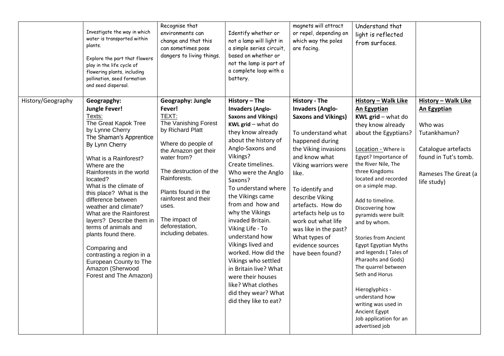|                   | Investigate the way in which<br>water is transported within<br>plants.<br>Explore the part that flowers<br>play in the life cycle of<br>flowering plants, including<br>pollination, seed formation<br>and seed dispersal.                                                                                                                                                                                                                                                                                                                              | Recognise that<br>environments can<br>change and that this<br>can sometimes pose<br>dangers to living things.                                                                                                                                                                                                   | Identify whether or<br>not a lamp will light in<br>a simple series circuit,<br>based on whether or<br>not the lamp is part of<br>a complete loop with a<br>battery.                                                                                                                                                                                                                                                                                                                                                                                                  | magnets will attract<br>or repel, depending on<br>which way the poles<br>are facing.                                                                                                                                                                                                                                                                                                 | Understand that<br>light is reflected<br>from surfaces.                                                                                                                                                                                                                                                                                                                                                                                                                                                                                                                                                       |                                                                                                                                                            |
|-------------------|--------------------------------------------------------------------------------------------------------------------------------------------------------------------------------------------------------------------------------------------------------------------------------------------------------------------------------------------------------------------------------------------------------------------------------------------------------------------------------------------------------------------------------------------------------|-----------------------------------------------------------------------------------------------------------------------------------------------------------------------------------------------------------------------------------------------------------------------------------------------------------------|----------------------------------------------------------------------------------------------------------------------------------------------------------------------------------------------------------------------------------------------------------------------------------------------------------------------------------------------------------------------------------------------------------------------------------------------------------------------------------------------------------------------------------------------------------------------|--------------------------------------------------------------------------------------------------------------------------------------------------------------------------------------------------------------------------------------------------------------------------------------------------------------------------------------------------------------------------------------|---------------------------------------------------------------------------------------------------------------------------------------------------------------------------------------------------------------------------------------------------------------------------------------------------------------------------------------------------------------------------------------------------------------------------------------------------------------------------------------------------------------------------------------------------------------------------------------------------------------|------------------------------------------------------------------------------------------------------------------------------------------------------------|
| History/Geography | Geograpghy:<br><b>Jungle Fever!</b><br>Texts:<br>The Great Kapok Tree<br>by Lynne Cherry<br>The Shaman's Apprentice<br>By Lynn Cherry<br>What is a Rainforest?<br>Where are the<br>Rainforests in the world<br>located?<br>What is the climate of<br>this place? What is the<br>difference between<br>weather and climate?<br>What are the Rainforest<br>layers? Describe them in<br>terms of animals and<br>plants found there.<br>Comparing and<br>contrasting a region in a<br>European County to The<br>Amazon (Sherwood<br>Forest and The Amazon) | <b>Geography: Jungle</b><br>Fever!<br>TEXT:<br>The Vanishing Forest<br>by Richard Platt<br>Where do people of<br>the Amazon get their<br>water from?<br>The destruction of the<br>Rainforests.<br>Plants found in the<br>rainforest and their<br>uses.<br>The impact of<br>deforestation,<br>including debates. | History - The<br><b>Invaders (Anglo-</b><br><b>Saxons and Vikings)</b><br>KWL grid $-$ what do<br>they know already<br>about the history of<br>Anglo-Saxons and<br>Vikings?<br>Create timelines.<br>Who were the Anglo<br>Saxons?<br>To understand where<br>the Vikings came<br>from and how and<br>why the Vikings<br>invaded Britain.<br>Viking Life - To<br>understand how<br>Vikings lived and<br>worked. How did the<br>Vikings who settled<br>in Britain live? What<br>were their houses<br>like? What clothes<br>did they wear? What<br>did they like to eat? | History - The<br><b>Invaders (Anglo-</b><br><b>Saxons and Vikings)</b><br>To understand what<br>happened during<br>the Viking invasions<br>and know what<br>Viking warriors were<br>like.<br>To identify and<br>describe Viking<br>artefacts. How do<br>artefacts help us to<br>work out what life<br>was like in the past?<br>What types of<br>evidence sources<br>have been found? | <b>History - Walk Like</b><br><b>An Egyptian</b><br>KWL grid - what do<br>they know already<br>about the Egyptians?<br>Location - Where is<br>Egypt? Importance of<br>the River Nile, The<br>three Kingdoms<br>located and recorded<br>on a simple map.<br>Add to timeline.<br>Discovering how<br>pyramids were built<br>and by whom.<br><b>Stories from Ancient</b><br>Egypt Egyptian Myths<br>and legends (Tales of<br>Pharaohs and Gods)<br>The quarrel between<br>Seth and Horus<br>Hieroglyphics -<br>understand how<br>writing was used in<br>Ancient Egypt<br>Job application for an<br>advertised job | History - Walk Like<br><b>An Egyptian</b><br>Who was<br>Tutankhamun?<br>Catalogue artefacts<br>found in Tut's tomb.<br>Rameses The Great (a<br>life study) |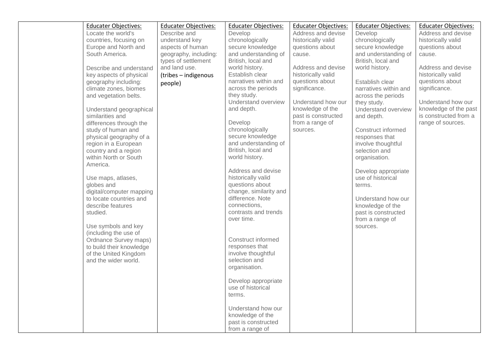|                  | <b>Educater Objectives:</b> | <b>Educater Objectives:</b> | <b>Educater Objectives:</b> | <b>Educater Objectives:</b> | <b>Educater Objectives:</b> | <b>Educater Objectives:</b> |
|------------------|-----------------------------|-----------------------------|-----------------------------|-----------------------------|-----------------------------|-----------------------------|
|                  | Locate the world's          | Describe and                | Develop                     | Address and devise          | Develop                     | Address and devise          |
|                  | countries, focusing on      | understand key              | chronologically             | historically valid          | chronologically             | historically valid          |
|                  | Europe and North and        | aspects of human            | secure knowledge            | questions about             | secure knowledge            | questions about             |
| South America.   |                             | geography, including:       | and understanding of        | cause.                      | and understanding of        | cause.                      |
|                  |                             | types of settlement         | British, local and          |                             | British, local and          |                             |
|                  | Describe and understand     | and land use.               | world history.              | Address and devise          | world history.              | Address and devise          |
|                  | key aspects of physical     | (tribes - indigenous        | Establish clear             | historically valid          |                             | historically valid          |
|                  | geography including:        | people)                     | narratives within and       | questions about             | Establish clear             | questions about             |
|                  | climate zones, biomes       |                             | across the periods          | significance.               | narratives within and       | significance.               |
|                  | and vegetation belts.       |                             | they study.                 |                             | across the periods          |                             |
|                  |                             |                             | Understand overview         | Understand how our          | they study.                 | Understand how our          |
|                  | Understand geographical     |                             | and depth.                  | knowledge of the            | Understand overview         | knowledge of the past       |
| similarities and |                             |                             |                             | past is constructed         | and depth.                  | is constructed from a       |
|                  | differences through the     |                             | Develop                     | from a range of             |                             | range of sources.           |
|                  | study of human and          |                             | chronologically             | sources.                    | Construct informed          |                             |
|                  | physical geography of a     |                             | secure knowledge            |                             | responses that              |                             |
|                  | region in a European        |                             | and understanding of        |                             | involve thoughtful          |                             |
|                  | country and a region        |                             | British, local and          |                             | selection and               |                             |
|                  | within North or South       |                             | world history.              |                             | organisation.               |                             |
| America.         |                             |                             |                             |                             |                             |                             |
|                  |                             |                             | Address and devise          |                             | Develop appropriate         |                             |
|                  | Use maps, atlases,          |                             | historically valid          |                             | use of historical           |                             |
| globes and       |                             |                             | questions about             |                             | terms.                      |                             |
|                  | digital/computer mapping    |                             | change, similarity and      |                             |                             |                             |
|                  | to locate countries and     |                             | difference. Note            |                             | Understand how our          |                             |
|                  | describe features           |                             | connections,                |                             | knowledge of the            |                             |
| studied.         |                             |                             | contrasts and trends        |                             | past is constructed         |                             |
|                  |                             |                             | over time.                  |                             | from a range of             |                             |
|                  | Use symbols and key         |                             |                             |                             | sources.                    |                             |
|                  | (including the use of       |                             |                             |                             |                             |                             |
|                  | Ordnance Survey maps)       |                             | Construct informed          |                             |                             |                             |
|                  | to build their knowledge    |                             | responses that              |                             |                             |                             |
|                  | of the United Kingdom       |                             | involve thoughtful          |                             |                             |                             |
|                  | and the wider world.        |                             | selection and               |                             |                             |                             |
|                  |                             |                             | organisation.               |                             |                             |                             |
|                  |                             |                             | Develop appropriate         |                             |                             |                             |
|                  |                             |                             | use of historical           |                             |                             |                             |
|                  |                             |                             |                             |                             |                             |                             |
|                  |                             |                             | terms.                      |                             |                             |                             |
|                  |                             |                             | Understand how our          |                             |                             |                             |
|                  |                             |                             | knowledge of the            |                             |                             |                             |
|                  |                             |                             | past is constructed         |                             |                             |                             |
|                  |                             |                             | from a range of             |                             |                             |                             |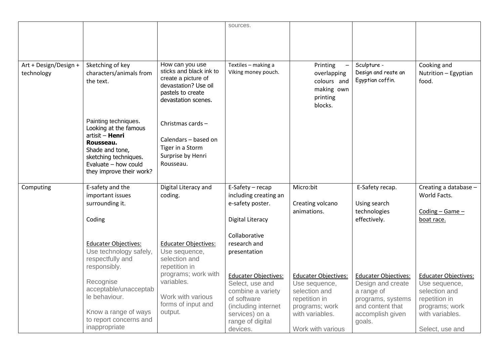|                       |                                          |                                             | sources.                    |                             |                             |                             |
|-----------------------|------------------------------------------|---------------------------------------------|-----------------------------|-----------------------------|-----------------------------|-----------------------------|
|                       |                                          |                                             |                             |                             |                             |                             |
|                       |                                          |                                             |                             |                             |                             |                             |
|                       |                                          |                                             |                             |                             |                             |                             |
|                       |                                          |                                             |                             |                             |                             |                             |
| Art + Design/Design + | Sketching of key                         | How can you use                             | Textiles - making a         | Printing                    | Sculpture -                 | Cooking and                 |
| technology            | characters/animals from                  | sticks and black ink to                     | Viking money pouch.         | overlapping                 | Design and reate an         | Nutrition - Egyptian        |
|                       | the text.                                | create a picture of<br>devastation? Use oil |                             | colours and                 | Egyptian coffin.            | food.                       |
|                       |                                          | pastels to create                           |                             | making own                  |                             |                             |
|                       |                                          | devastation scenes.                         |                             | printing                    |                             |                             |
|                       |                                          |                                             |                             | blocks.                     |                             |                             |
|                       |                                          |                                             |                             |                             |                             |                             |
|                       | Painting techniques.                     | Christmas cards -                           |                             |                             |                             |                             |
|                       | Looking at the famous<br>artisit - Henri |                                             |                             |                             |                             |                             |
|                       | Rousseau.                                | Calendars - based on                        |                             |                             |                             |                             |
|                       | Shade and tone,                          | Tiger in a Storm                            |                             |                             |                             |                             |
|                       | sketching techniques.                    | Surprise by Henri                           |                             |                             |                             |                             |
|                       | Evaluate $-$ how could                   | Rousseau.                                   |                             |                             |                             |                             |
|                       | they improve their work?                 |                                             |                             |                             |                             |                             |
|                       |                                          |                                             |                             |                             |                             |                             |
| Computing             | E-safety and the                         | Digital Literacy and                        | $E-Safety - recap$          | Micro:bit                   | E-Safety recap.             | Creating a database -       |
|                       | important issues                         | coding.                                     | including creating an       |                             |                             | World Facts.                |
|                       | surrounding it.                          |                                             | e-safety poster.            | Creating volcano            | Using search                |                             |
|                       |                                          |                                             |                             | animations.                 | technologies                | Coding - Game -             |
|                       | Coding                                   |                                             | <b>Digital Literacy</b>     |                             | effectively.                | boat race.                  |
|                       |                                          |                                             | Collaborative               |                             |                             |                             |
|                       | <b>Educater Objectives:</b>              | <b>Educater Objectives:</b>                 | research and                |                             |                             |                             |
|                       | Use technology safely,                   | Use sequence,                               | presentation                |                             |                             |                             |
|                       | respectfully and                         | selection and                               |                             |                             |                             |                             |
|                       | responsibly.                             | repetition in                               |                             |                             |                             |                             |
|                       |                                          | programs; work with                         | <b>Educater Objectives:</b> | <b>Educater Objectives:</b> | <b>Educater Objectives:</b> | <b>Educater Objectives:</b> |
|                       | Recognise                                | variables.                                  | Select, use and             | Use sequence,               | Design and create           | Use sequence,               |
|                       | acceptable/unacceptab                    |                                             | combine a variety           | selection and               | a range of                  | selection and               |
|                       | le behaviour.                            | Work with various                           | of software                 | repetition in               | programs, systems           | repetition in               |
|                       |                                          | forms of input and                          | (including internet         | programs; work              | and content that            | programs; work              |
|                       | Know a range of ways                     | output.                                     | services) on a              | with variables.             | accomplish given            | with variables.             |
|                       | to report concerns and                   |                                             | range of digital            |                             | goals.                      |                             |
|                       | inappropriate                            |                                             | devices.                    | Work with various           |                             | Select, use and             |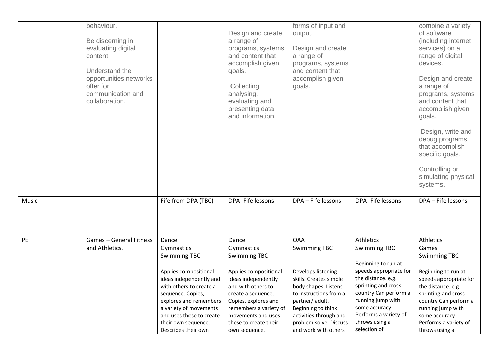|       | behaviour.<br>Be discerning in<br>evaluating digital<br>content.<br>Understand the<br>opportunities networks<br>offer for<br>communication and<br>collaboration. |                                                                                                                                                                                                                                                                              | Design and create<br>a range of<br>programs, systems<br>and content that<br>accomplish given<br>goals.<br>Collecting,<br>analysing,<br>evaluating and<br>presenting data<br>and information.                                                             | forms of input and<br>output.<br>Design and create<br>a range of<br>programs, systems<br>and content that<br>accomplish given<br>goals.                                                                                                                  |                                                                                                                                                                                                                                                          | combine a variety<br>of software<br>(including internet<br>services) on a<br>range of digital<br>devices.<br>Design and create<br>a range of<br>programs, systems<br>and content that<br>accomplish given<br>goals.<br>Design, write and<br>debug programs<br>that accomplish<br>specific goals.<br>Controlling or<br>simulating physical<br>systems. |
|-------|------------------------------------------------------------------------------------------------------------------------------------------------------------------|------------------------------------------------------------------------------------------------------------------------------------------------------------------------------------------------------------------------------------------------------------------------------|----------------------------------------------------------------------------------------------------------------------------------------------------------------------------------------------------------------------------------------------------------|----------------------------------------------------------------------------------------------------------------------------------------------------------------------------------------------------------------------------------------------------------|----------------------------------------------------------------------------------------------------------------------------------------------------------------------------------------------------------------------------------------------------------|-------------------------------------------------------------------------------------------------------------------------------------------------------------------------------------------------------------------------------------------------------------------------------------------------------------------------------------------------------|
| Music |                                                                                                                                                                  | Fife from DPA (TBC)                                                                                                                                                                                                                                                          | DPA- Fife lessons                                                                                                                                                                                                                                        | DPA - Fife lessons                                                                                                                                                                                                                                       | DPA- Fife lessons                                                                                                                                                                                                                                        | DPA - Fife lessons                                                                                                                                                                                                                                                                                                                                    |
| PE    | <b>Games - General Fitness</b><br>and Athletics.                                                                                                                 | Dance<br>Gymnastics<br><b>Swimming TBC</b><br>Applies compositional<br>ideas independently and<br>with others to create a<br>sequence. Copies,<br>explores and remembers<br>a variety of movements<br>and uses these to create<br>their own sequence.<br>Describes their own | Dance<br>Gymnastics<br><b>Swimming TBC</b><br>Applies compositional<br>ideas independently<br>and with others to<br>create a sequence.<br>Copies, explores and<br>remembers a variety of<br>movements and uses<br>these to create their<br>own sequence. | <b>OAA</b><br><b>Swimming TBC</b><br>Develops listening<br>skills. Creates simple<br>body shapes. Listens<br>to instructions from a<br>partner/ adult.<br>Beginning to think<br>activities through and<br>problem solve. Discuss<br>and work with others | Athletics<br><b>Swimming TBC</b><br>Beginning to run at<br>speeds appropriate for<br>the distance. e.g.<br>sprinting and cross<br>country Can perform a<br>running jump with<br>some accuracy<br>Performs a variety of<br>throws using a<br>selection of | Athletics<br>Games<br>Swimming TBC<br>Beginning to run at<br>speeds appropriate for<br>the distance. e.g.<br>sprinting and cross<br>country Can perform a<br>running jump with<br>some accuracy<br>Performs a variety of<br>throws using a                                                                                                            |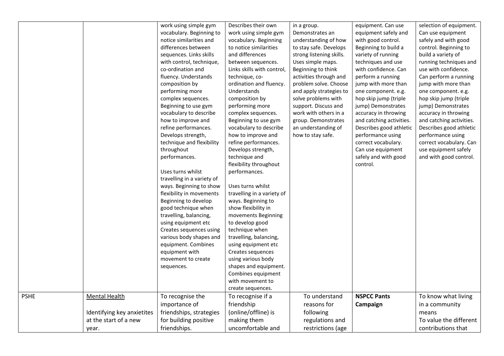|             |                            | work using simple gym      | Describes their own        | in a group.              | equipment. Can use       | selection of equipment.  |
|-------------|----------------------------|----------------------------|----------------------------|--------------------------|--------------------------|--------------------------|
|             |                            | vocabulary. Beginning to   | work using simple gym      | Demonstrates an          | equipment safely and     | Can use equipment        |
|             |                            | notice similarities and    | vocabulary. Beginning      | understanding of how     | with good control.       | safely and with good     |
|             |                            | differences between        | to notice similarities     | to stay safe. Develops   | Beginning to build a     | control. Beginning to    |
|             |                            | sequences. Links skills    | and differences            | strong listening skills. | variety of running       | build a variety of       |
|             |                            | with control, technique,   | between sequences.         | Uses simple maps.        | techniques and use       | running techniques and   |
|             |                            | co-ordination and          | Links skills with control, | Beginning to think       | with confidence. Can     | use with confidence.     |
|             |                            | fluency. Understands       | technique, co-             | activities through and   | perform a running        | Can perform a running    |
|             |                            | composition by             | ordination and fluency.    | problem solve. Choose    | jump with more than      | jump with more than      |
|             |                            | performing more            | Understands                | and apply strategies to  | one component. e.g.      | one component. e.g.      |
|             |                            | complex sequences.         | composition by             | solve problems with      | hop skip jump (triple    | hop skip jump (triple    |
|             |                            | Beginning to use gym       | performing more            | support. Discuss and     | jump) Demonstrates       | jump) Demonstrates       |
|             |                            | vocabulary to describe     | complex sequences.         | work with others in a    | accuracy in throwing     | accuracy in throwing     |
|             |                            | how to improve and         | Beginning to use gym       | group. Demonstrates      | and catching activities. | and catching activities. |
|             |                            | refine performances.       | vocabulary to describe     | an understanding of      | Describes good athletic  | Describes good athletic  |
|             |                            | Develops strength,         | how to improve and         | how to stay safe.        | performance using        | performance using        |
|             |                            | technique and flexibility  | refine performances.       |                          | correct vocabulary.      | correct vocabulary. Can  |
|             |                            | throughout                 | Develops strength,         |                          | Can use equipment        | use equipment safely     |
|             |                            | performances.              | technique and              |                          | safely and with good     | and with good control.   |
|             |                            |                            | flexibility throughout     |                          | control.                 |                          |
|             |                            | Uses turns whilst          | performances.              |                          |                          |                          |
|             |                            | travelling in a variety of |                            |                          |                          |                          |
|             |                            | ways. Beginning to show    | Uses turns whilst          |                          |                          |                          |
|             |                            | flexibility in movements   | travelling in a variety of |                          |                          |                          |
|             |                            | Beginning to develop       | ways. Beginning to         |                          |                          |                          |
|             |                            | good technique when        | show flexibility in        |                          |                          |                          |
|             |                            | travelling, balancing,     | movements Beginning        |                          |                          |                          |
|             |                            | using equipment etc        | to develop good            |                          |                          |                          |
|             |                            | Creates sequences using    | technique when             |                          |                          |                          |
|             |                            | various body shapes and    | travelling, balancing,     |                          |                          |                          |
|             |                            | equipment. Combines        | using equipment etc        |                          |                          |                          |
|             |                            | equipment with             | Creates sequences          |                          |                          |                          |
|             |                            | movement to create         | using various body         |                          |                          |                          |
|             |                            | sequences.                 | shapes and equipment.      |                          |                          |                          |
|             |                            |                            | Combines equipment         |                          |                          |                          |
|             |                            |                            | with movement to           |                          |                          |                          |
|             |                            |                            | create sequences.          |                          |                          |                          |
| <b>PSHE</b> | <b>Mental Health</b>       | To recognise the           | To recognise if a          | To understand            | <b>NSPCC Pants</b>       | To know what living      |
|             |                            | importance of              | friendship                 | reasons for              | Campaign                 | in a community           |
|             | Identifying key anxietites | friendships, strategies    | (online/offline) is        | following                |                          | means                    |
|             | at the start of a new      | for building positive      | making them                | regulations and          |                          | To value the different   |
|             | year.                      | friendships.               | uncomfortable and          | restrictions (age        |                          | contributions that       |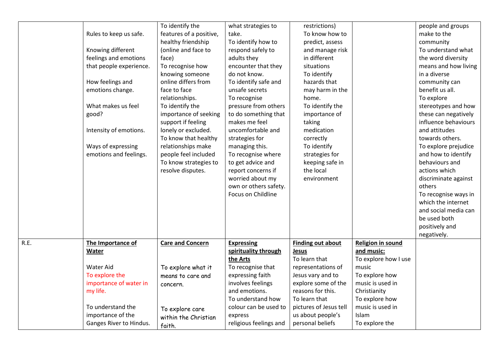|      | Rules to keep us safe.<br>Knowing different<br>feelings and emotions<br>that people experience.<br>How feelings and<br>emotions change.<br>What makes us feel<br>good?<br>Intensity of emotions.<br>Ways of expressing<br>emotions and feelings. | To identify the<br>features of a positive,<br>healthy friendship<br>(online and face to<br>face)<br>To recognise how<br>knowing someone<br>online differs from<br>face to face<br>relationships.<br>To identify the<br>importance of seeking<br>support if feeling<br>lonely or excluded.<br>To know that healthy<br>relationships make<br>people feel included<br>To know strategies to<br>resolve disputes. | what strategies to<br>take.<br>To identify how to<br>respond safely to<br>adults they<br>encounter that they<br>do not know.<br>To identify safe and<br>unsafe secrets<br>To recognise<br>pressure from others<br>to do something that<br>makes me feel<br>uncomfortable and<br>strategies for<br>managing this.<br>To recognise where<br>to get advice and<br>report concerns if<br>worried about my<br>own or others safety.<br>Focus on Childline | restrictions)<br>To know how to<br>predict, assess<br>and manage risk<br>in different<br>situations<br>To identify<br>hazards that<br>may harm in the<br>home.<br>To identify the<br>importance of<br>taking<br>medication<br>correctly<br>To identify<br>strategies for<br>keeping safe in<br>the local<br>environment |                                                                | people and groups<br>make to the<br>community<br>To understand what<br>the word diversity<br>means and how living<br>in a diverse<br>community can<br>benefit us all.<br>To explore<br>stereotypes and how<br>these can negatively<br>influence behaviours<br>and attitudes<br>towards others.<br>To explore prejudice<br>and how to identify<br>behaviours and<br>actions which<br>discriminate against<br>others<br>To recognise ways in<br>which the internet<br>and social media can<br>be used both<br>positively and |
|------|--------------------------------------------------------------------------------------------------------------------------------------------------------------------------------------------------------------------------------------------------|---------------------------------------------------------------------------------------------------------------------------------------------------------------------------------------------------------------------------------------------------------------------------------------------------------------------------------------------------------------------------------------------------------------|------------------------------------------------------------------------------------------------------------------------------------------------------------------------------------------------------------------------------------------------------------------------------------------------------------------------------------------------------------------------------------------------------------------------------------------------------|-------------------------------------------------------------------------------------------------------------------------------------------------------------------------------------------------------------------------------------------------------------------------------------------------------------------------|----------------------------------------------------------------|----------------------------------------------------------------------------------------------------------------------------------------------------------------------------------------------------------------------------------------------------------------------------------------------------------------------------------------------------------------------------------------------------------------------------------------------------------------------------------------------------------------------------|
|      |                                                                                                                                                                                                                                                  |                                                                                                                                                                                                                                                                                                                                                                                                               |                                                                                                                                                                                                                                                                                                                                                                                                                                                      |                                                                                                                                                                                                                                                                                                                         |                                                                | negatively.                                                                                                                                                                                                                                                                                                                                                                                                                                                                                                                |
| R.E. | The Importance of<br>Water                                                                                                                                                                                                                       | <b>Care and Concern</b>                                                                                                                                                                                                                                                                                                                                                                                       | <b>Expressing</b><br>spirituality through<br>the Arts                                                                                                                                                                                                                                                                                                                                                                                                | <b>Finding out about</b><br>Jesus<br>To learn that                                                                                                                                                                                                                                                                      | <b>Religion in sound</b><br>and music:<br>To explore how I use |                                                                                                                                                                                                                                                                                                                                                                                                                                                                                                                            |
|      | <b>Water Aid</b>                                                                                                                                                                                                                                 | To explore what it                                                                                                                                                                                                                                                                                                                                                                                            | To recognise that                                                                                                                                                                                                                                                                                                                                                                                                                                    | representations of                                                                                                                                                                                                                                                                                                      | music                                                          |                                                                                                                                                                                                                                                                                                                                                                                                                                                                                                                            |
|      | To explore the<br>importance of water in                                                                                                                                                                                                         | means to care and                                                                                                                                                                                                                                                                                                                                                                                             | expressing faith<br>involves feelings                                                                                                                                                                                                                                                                                                                                                                                                                | Jesus vary and to<br>explore some of the                                                                                                                                                                                                                                                                                | To explore how<br>music is used in                             |                                                                                                                                                                                                                                                                                                                                                                                                                                                                                                                            |
|      | my life.                                                                                                                                                                                                                                         | concern.                                                                                                                                                                                                                                                                                                                                                                                                      | and emotions.                                                                                                                                                                                                                                                                                                                                                                                                                                        | reasons for this.                                                                                                                                                                                                                                                                                                       | Christianity                                                   |                                                                                                                                                                                                                                                                                                                                                                                                                                                                                                                            |
|      |                                                                                                                                                                                                                                                  |                                                                                                                                                                                                                                                                                                                                                                                                               | To understand how                                                                                                                                                                                                                                                                                                                                                                                                                                    | To learn that                                                                                                                                                                                                                                                                                                           | To explore how                                                 |                                                                                                                                                                                                                                                                                                                                                                                                                                                                                                                            |
|      | To understand the                                                                                                                                                                                                                                | To explore care                                                                                                                                                                                                                                                                                                                                                                                               | colour can be used to                                                                                                                                                                                                                                                                                                                                                                                                                                | pictures of Jesus tell                                                                                                                                                                                                                                                                                                  | music is used in                                               |                                                                                                                                                                                                                                                                                                                                                                                                                                                                                                                            |
|      | importance of the                                                                                                                                                                                                                                | within the Christian                                                                                                                                                                                                                                                                                                                                                                                          | express                                                                                                                                                                                                                                                                                                                                                                                                                                              | us about people's                                                                                                                                                                                                                                                                                                       | Islam                                                          |                                                                                                                                                                                                                                                                                                                                                                                                                                                                                                                            |
|      | Ganges River to Hindus.                                                                                                                                                                                                                          | faith.                                                                                                                                                                                                                                                                                                                                                                                                        | religious feelings and                                                                                                                                                                                                                                                                                                                                                                                                                               | personal beliefs                                                                                                                                                                                                                                                                                                        | To explore the                                                 |                                                                                                                                                                                                                                                                                                                                                                                                                                                                                                                            |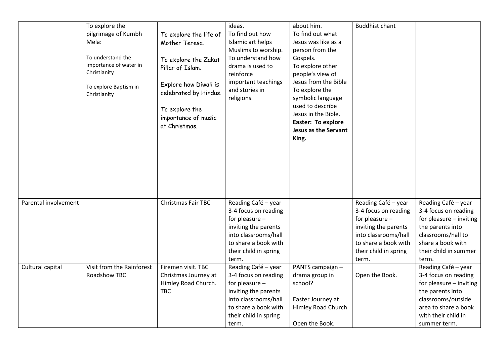|                      | To explore the<br>pilgrimage of Kumbh<br>Mela:<br>To understand the<br>importance of water in<br>Christianity<br>To explore Baptism in<br>Christianity | To explore the life of<br>Mother Teresa.<br>To explore the Zakat<br>Pillar of Islam.<br>Explore how Diwali is<br>celebrated by Hindus.<br>To explore the<br>importance of music<br>at Christmas. | ideas.<br>To find out how<br>Islamic art helps<br>Muslims to worship.<br>To understand how<br>drama is used to<br>reinforce<br>important teachings<br>and stories in<br>religions. | about him.<br>To find out what<br>Jesus was like as a<br>person from the<br>Gospels.<br>To explore other<br>people's view of<br>Jesus from the Bible<br>To explore the<br>symbolic language<br>used to describe<br>Jesus in the Bible.<br><b>Easter: To explore</b><br>Jesus as the Servant<br>King. | <b>Buddhist chant</b>                                                                                                                                                   |                                                                                                                                                                                 |
|----------------------|--------------------------------------------------------------------------------------------------------------------------------------------------------|--------------------------------------------------------------------------------------------------------------------------------------------------------------------------------------------------|------------------------------------------------------------------------------------------------------------------------------------------------------------------------------------|------------------------------------------------------------------------------------------------------------------------------------------------------------------------------------------------------------------------------------------------------------------------------------------------------|-------------------------------------------------------------------------------------------------------------------------------------------------------------------------|---------------------------------------------------------------------------------------------------------------------------------------------------------------------------------|
| Parental involvement |                                                                                                                                                        | Christmas Fair TBC                                                                                                                                                                               | Reading Café - year<br>3-4 focus on reading<br>for pleasure -<br>inviting the parents<br>into classrooms/hall<br>to share a book with<br>their child in spring<br>term.            |                                                                                                                                                                                                                                                                                                      | Reading Café - year<br>3-4 focus on reading<br>for pleasure -<br>inviting the parents<br>into classrooms/hall<br>to share a book with<br>their child in spring<br>term. | Reading Café - year<br>3-4 focus on reading<br>for pleasure - inviting<br>the parents into<br>classrooms/hall to<br>share a book with<br>their child in summer<br>term.         |
| Cultural capital     | Visit from the Rainforest<br>Roadshow TBC                                                                                                              | Firemen visit. TBC<br>Christmas Journey at<br>Himley Road Church.<br><b>TBC</b>                                                                                                                  | Reading Café - year<br>3-4 focus on reading<br>for pleasure -<br>inviting the parents<br>into classrooms/hall<br>to share a book with<br>their child in spring<br>term.            | PANTS campaign -<br>drama group in<br>school?<br>Easter Journey at<br>Himley Road Church.<br>Open the Book.                                                                                                                                                                                          | Open the Book.                                                                                                                                                          | Reading Café - year<br>3-4 focus on reading<br>for pleasure - inviting<br>the parents into<br>classrooms/outside<br>area to share a book<br>with their child in<br>summer term. |